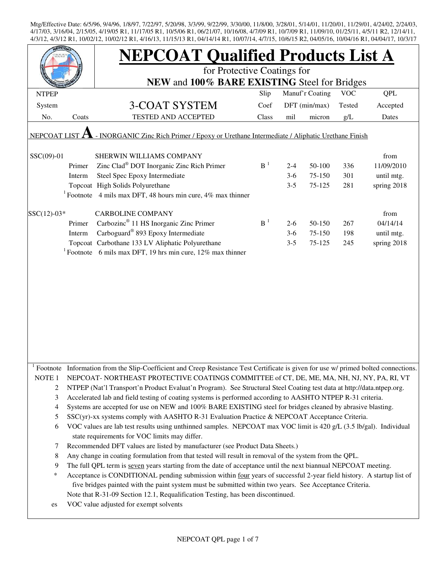| EPCO <sub>2</sub> |                                                                                                           | <b>NEPCOAT Qualified Products List A</b>                                                                                                                            |                |         |                 |            |             |  |  |
|-------------------|-----------------------------------------------------------------------------------------------------------|---------------------------------------------------------------------------------------------------------------------------------------------------------------------|----------------|---------|-----------------|------------|-------------|--|--|
|                   |                                                                                                           | for Protective Coatings for                                                                                                                                         |                |         |                 |            |             |  |  |
|                   |                                                                                                           | NEW and 100% BARE EXISTING Steel for Bridges                                                                                                                        |                |         |                 |            |             |  |  |
| <b>NTPEP</b>      |                                                                                                           |                                                                                                                                                                     | Slip           |         | Manuf'r Coating | <b>VOC</b> | QPL         |  |  |
| System            |                                                                                                           | <b>3-COAT SYSTEM</b>                                                                                                                                                | Coef           |         | DFT (min/max)   | Tested     | Accepted    |  |  |
| No.               | Coats                                                                                                     | <b>TESTED AND ACCEPTED</b>                                                                                                                                          | Class          | mil     | micron          | g/L        | Dates       |  |  |
|                   | - INORGANIC Zinc Rich Primer / Epoxy or Urethane Intermediate / Aliphatic Urethane Finish<br>NEPCOAT LIST |                                                                                                                                                                     |                |         |                 |            |             |  |  |
| $SSC(09)-01$      |                                                                                                           | SHERWIN WILLIAMS COMPANY                                                                                                                                            |                |         |                 |            | from        |  |  |
|                   | Primer                                                                                                    | Zinc Clad <sup>®</sup> DOT Inorganic Zinc Rich Primer                                                                                                               | B <sup>1</sup> | $2 - 4$ | 50-100          | 336        | 11/09/2010  |  |  |
|                   | Interm                                                                                                    | Steel Spec Epoxy Intermediate                                                                                                                                       |                | $3-6$   | 75-150          | 301        | until mtg.  |  |  |
|                   |                                                                                                           | Topcoat High Solids Polyurethane                                                                                                                                    |                | $3 - 5$ | 75-125          | 281        | spring 2018 |  |  |
|                   |                                                                                                           | <sup>1</sup> Footnote 4 mils max DFT, 48 hours min cure, 4% max thinner                                                                                             |                |         |                 |            |             |  |  |
|                   |                                                                                                           |                                                                                                                                                                     |                |         |                 |            |             |  |  |
| $SSC(12)-03*$     |                                                                                                           | <b>CARBOLINE COMPANY</b>                                                                                                                                            |                |         |                 |            | from        |  |  |
|                   | Primer                                                                                                    | Carbozinc <sup>®</sup> 11 HS Inorganic Zinc Primer                                                                                                                  | $B-1$          | $2 - 6$ | 50-150          | 267        | 04/14/14    |  |  |
|                   | Interm                                                                                                    | Carboguard <sup>®</sup> 893 Epoxy Intermediate                                                                                                                      |                | $3-6$   | 75-150          | 198        | until mtg.  |  |  |
|                   |                                                                                                           | Topcoat Carbothane 133 LV Aliphatic Polyurethane                                                                                                                    |                | $3 - 5$ | 75-125          | 245        | spring 2018 |  |  |
|                   |                                                                                                           | <sup>1</sup> Footnote 6 mils max DFT, 19 hrs min cure, 12% max thinner                                                                                              |                |         |                 |            |             |  |  |
|                   |                                                                                                           |                                                                                                                                                                     |                |         |                 |            |             |  |  |
|                   |                                                                                                           |                                                                                                                                                                     |                |         |                 |            |             |  |  |
|                   |                                                                                                           |                                                                                                                                                                     |                |         |                 |            |             |  |  |
|                   |                                                                                                           |                                                                                                                                                                     |                |         |                 |            |             |  |  |
|                   |                                                                                                           |                                                                                                                                                                     |                |         |                 |            |             |  |  |
|                   |                                                                                                           |                                                                                                                                                                     |                |         |                 |            |             |  |  |
|                   |                                                                                                           |                                                                                                                                                                     |                |         |                 |            |             |  |  |
|                   |                                                                                                           |                                                                                                                                                                     |                |         |                 |            |             |  |  |
|                   |                                                                                                           |                                                                                                                                                                     |                |         |                 |            |             |  |  |
|                   |                                                                                                           |                                                                                                                                                                     |                |         |                 |            |             |  |  |
| Footnote          |                                                                                                           | Information from the Slip-Coefficient and Creep Resistance Test Certificate is given for use w/ primed bolted connections.                                          |                |         |                 |            |             |  |  |
| NOTE <sub>1</sub> |                                                                                                           | NEPCOAT-NORTHEAST PROTECTIVE COATINGS COMMITTEE of CT, DE, ME, MA, NH, NJ, NY, PA, RI, VT                                                                           |                |         |                 |            |             |  |  |
| 2                 |                                                                                                           | NTPEP (Nat'l Transport'n Product Evaluat'n Program). See Structural Steel Coating test data at http://data.ntpep.org.                                               |                |         |                 |            |             |  |  |
| 3                 |                                                                                                           | Accelerated lab and field testing of coating systems is performed according to AASHTO NTPEP R-31 criteria.                                                          |                |         |                 |            |             |  |  |
| 4                 |                                                                                                           | Systems are accepted for use on NEW and 100% BARE EXISTING steel for bridges cleaned by abrasive blasting.                                                          |                |         |                 |            |             |  |  |
| 5                 |                                                                                                           | SSC(yr)-xx systems comply with AASHTO R-31 Evaluation Practice & NEPCOAT Acceptance Criteria.                                                                       |                |         |                 |            |             |  |  |
| 6                 |                                                                                                           | VOC values are lab test results using unthinned samples. NEPCOAT max VOC limit is 420 g/L (3.5 lb/gal). Individual<br>state requirements for VOC limits may differ. |                |         |                 |            |             |  |  |
| 7                 |                                                                                                           | Recommended DFT values are listed by manufacturer (see Product Data Sheets.)                                                                                        |                |         |                 |            |             |  |  |
| 8                 |                                                                                                           | Any change in coating formulation from that tested will result in removal of the system from the QPL.                                                               |                |         |                 |            |             |  |  |
| 9                 |                                                                                                           | The full QPL term is seven years starting from the date of acceptance until the next biannual NEPCOAT meeting.                                                      |                |         |                 |            |             |  |  |
| ∗                 |                                                                                                           | Acceptance is CONDITIONAL pending submission within four years of successful 2-year field history. A startup list of                                                |                |         |                 |            |             |  |  |
|                   |                                                                                                           | five bridges painted with the paint system must be submitted within two years. See Acceptance Criteria.                                                             |                |         |                 |            |             |  |  |
|                   |                                                                                                           | Note that R-31-09 Section 12.1, Requalification Testing, has been discontinued.                                                                                     |                |         |                 |            |             |  |  |
| es                |                                                                                                           | VOC value adjusted for exempt solvents                                                                                                                              |                |         |                 |            |             |  |  |
|                   |                                                                                                           |                                                                                                                                                                     |                |         |                 |            |             |  |  |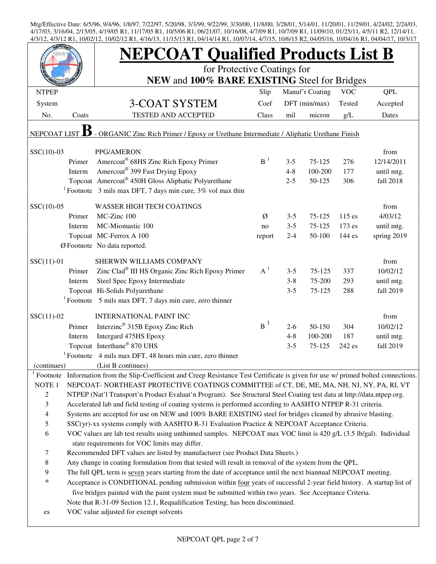|                                                                                                         |        | <b>NEPCOAT Qualified Products List B</b>                                                                                   |                |         |                 |            |                    |  |  |  |
|---------------------------------------------------------------------------------------------------------|--------|----------------------------------------------------------------------------------------------------------------------------|----------------|---------|-----------------|------------|--------------------|--|--|--|
|                                                                                                         |        | for Protective Coatings for                                                                                                |                |         |                 |            |                    |  |  |  |
|                                                                                                         |        | NEW and 100% BARE EXISTING Steel for Bridges                                                                               |                |         |                 |            |                    |  |  |  |
| <b>NTPEP</b>                                                                                            |        |                                                                                                                            | Slip           |         | Manuf'r Coating | <b>VOC</b> | <b>QPL</b>         |  |  |  |
| System                                                                                                  |        | 3-COAT SYSTEM                                                                                                              | Coef           |         | DFT (min/max)   | Tested     | Accepted           |  |  |  |
| No.                                                                                                     | Coats  | <b>TESTED AND ACCEPTED</b>                                                                                                 | Class          | mil     | micron          | g/L        | Dates              |  |  |  |
| - ORGANIC Zinc Rich Primer / Epoxy or Urethane Intermediate / Aliphatic Urethane Finish<br>NEPCOAT LIST |        |                                                                                                                            |                |         |                 |            |                    |  |  |  |
|                                                                                                         |        |                                                                                                                            |                |         |                 |            |                    |  |  |  |
| $SSC(10)-03$                                                                                            | Primer | PPG/AMERON<br>Amercoat® 68HS Zinc Rich Epoxy Primer                                                                        | B <sup>1</sup> | $3 - 5$ | $75 - 125$      | 276        | from<br>12/14/2011 |  |  |  |
|                                                                                                         | Interm | Amercoat <sup>®</sup> 399 Fast Drying Epoxy                                                                                |                | $4 - 8$ | 100-200         | 177        | until mtg.         |  |  |  |
|                                                                                                         |        | Topcoat Amercoat <sup>®</sup> 450H Gloss Aliphatic Polyurethane                                                            |                | $2 - 5$ | 50-125          | 306        | fall 2018          |  |  |  |
|                                                                                                         |        | <sup>1</sup> Footnote 3 mils max DFT, 7 days min cure, $3\%$ vol max thin                                                  |                |         |                 |            |                    |  |  |  |
|                                                                                                         |        |                                                                                                                            |                |         |                 |            |                    |  |  |  |
| $SSC(10)-05$                                                                                            |        | <b>WASSER HIGH TECH COATINGS</b>                                                                                           |                |         |                 |            | from               |  |  |  |
|                                                                                                         | Primer | MC-Zinc 100                                                                                                                | Ø              | $3 - 5$ | 75-125          | $115$ es   | 4/03/12            |  |  |  |
|                                                                                                         | Interm | MC-Miomastic 100                                                                                                           | no             | $3 - 5$ | 75-125          | 173 es     | until mtg.         |  |  |  |
|                                                                                                         |        | Topcoat MC-Ferrox A 100                                                                                                    | report         | $2 - 4$ | 50-100          | 144 es     | spring 2019        |  |  |  |
|                                                                                                         |        | Ø Footnote No data reported.                                                                                               |                |         |                 |            |                    |  |  |  |
| $SSC(11)-01$                                                                                            |        | SHERWIN WILLIAMS COMPANY                                                                                                   |                |         |                 |            | from               |  |  |  |
|                                                                                                         | Primer | Zinc Clad® III HS Organic Zinc Rich Epoxy Primer                                                                           | $A^1$          | $3 - 5$ | 75-125          | 337        | 10/02/12           |  |  |  |
|                                                                                                         | Interm | Steel Spec Epoxy Intermediate                                                                                              |                | $3 - 8$ | 75-200          | 293        | until mtg.         |  |  |  |
|                                                                                                         |        | Topcoat Hi-Solids Polyurethane                                                                                             |                | $3 - 5$ | 75-125          | 288        | fall 2019          |  |  |  |
|                                                                                                         |        | $1$ Footnote 5 mils max DFT, 7 days min cure, zero thinner                                                                 |                |         |                 |            |                    |  |  |  |
| $SSC(11)-02$                                                                                            |        | <b>INTERNATIONAL PAINT INC</b>                                                                                             |                |         |                 |            | from               |  |  |  |
|                                                                                                         | Primer | Interzinc <sup>®</sup> 315B Epoxy Zinc Rich                                                                                | $B^1$          | $2 - 6$ | 50-150          | 304        | 10/02/12           |  |  |  |
|                                                                                                         | Interm | Intergard 475HS Epoxy                                                                                                      |                | $4 - 8$ | 100-200         | 187        | until mtg.         |  |  |  |
|                                                                                                         |        | Topcoat Interthane® 870 UHS                                                                                                |                | $3 - 5$ | 75-125          | 242 es     | fall 2019          |  |  |  |
|                                                                                                         |        | $1$ Footnote 4 mils max DFT, 48 hours min cure, zero thinner                                                               |                |         |                 |            |                    |  |  |  |
| (continues)                                                                                             |        | (List B continues)                                                                                                         |                |         |                 |            |                    |  |  |  |
| Footnote                                                                                                |        | Information from the Slip-Coefficient and Creep Resistance Test Certificate is given for use w/ primed bolted connections. |                |         |                 |            |                    |  |  |  |
| NOTE <sub>1</sub>                                                                                       |        | NEPCOAT-NORTHEAST PROTECTIVE COATINGS COMMITTEE of CT, DE, ME, MA, NH, NJ, NY, PA, RI, VT                                  |                |         |                 |            |                    |  |  |  |
| $\overline{c}$                                                                                          |        | NTPEP (Nat'l Transport'n Product Evaluat'n Program). See Structural Steel Coating test data at http://data.ntpep.org.      |                |         |                 |            |                    |  |  |  |
| 3                                                                                                       |        | Accelerated lab and field testing of coating systems is performed according to AASHTO NTPEP R-31 criteria.                 |                |         |                 |            |                    |  |  |  |
| $\overline{4}$                                                                                          |        | Systems are accepted for use on NEW and 100% BARE EXISTING steel for bridges cleaned by abrasive blasting.                 |                |         |                 |            |                    |  |  |  |
| 5                                                                                                       |        | SSC(yr)-xx systems comply with AASHTO R-31 Evaluation Practice & NEPCOAT Acceptance Criteria.                              |                |         |                 |            |                    |  |  |  |
| 6                                                                                                       |        | VOC values are lab test results using unthinned samples. NEPCOAT max VOC limit is 420 g/L (3.5 lb/gal). Individual         |                |         |                 |            |                    |  |  |  |
|                                                                                                         |        | state requirements for VOC limits may differ.                                                                              |                |         |                 |            |                    |  |  |  |
| $\tau$                                                                                                  |        | Recommended DFT values are listed by manufacturer (see Product Data Sheets.)                                               |                |         |                 |            |                    |  |  |  |
| 8                                                                                                       |        | Any change in coating formulation from that tested will result in removal of the system from the QPL.                      |                |         |                 |            |                    |  |  |  |
| 9                                                                                                       |        | The full QPL term is seven years starting from the date of acceptance until the next biannual NEPCOAT meeting.             |                |         |                 |            |                    |  |  |  |
| $\ast$                                                                                                  |        | Acceptance is CONDITIONAL pending submission within four years of successful 2-year field history. A startup list of       |                |         |                 |            |                    |  |  |  |
|                                                                                                         |        | five bridges painted with the paint system must be submitted within two years. See Acceptance Criteria.                    |                |         |                 |            |                    |  |  |  |
|                                                                                                         |        | Note that R-31-09 Section 12.1, Requalification Testing, has been discontinued.                                            |                |         |                 |            |                    |  |  |  |
| es                                                                                                      |        | VOC value adjusted for exempt solvents                                                                                     |                |         |                 |            |                    |  |  |  |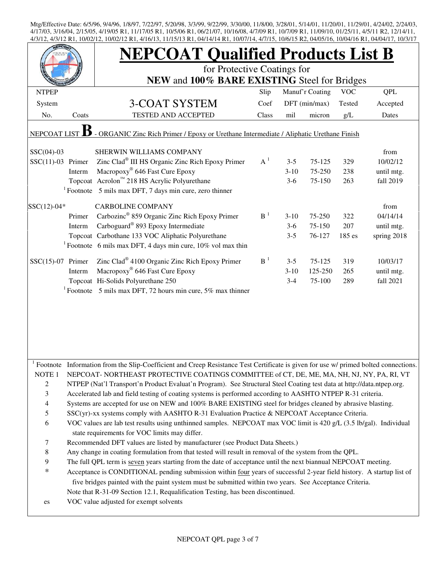|                     |        | <b>NEPCOAT Qualified Products List B</b>                                                                                                                            |       |         |                 |            |             |  |  |  |
|---------------------|--------|---------------------------------------------------------------------------------------------------------------------------------------------------------------------|-------|---------|-----------------|------------|-------------|--|--|--|
|                     |        | for Protective Coatings for                                                                                                                                         |       |         |                 |            |             |  |  |  |
|                     |        | NEW and 100% BARE EXISTING Steel for Bridges                                                                                                                        |       |         |                 |            |             |  |  |  |
| <b>NTPEP</b>        |        |                                                                                                                                                                     | Slip  |         | Manuf'r Coating | <b>VOC</b> | <b>QPL</b>  |  |  |  |
| System              |        | <b>3-COAT SYSTEM</b>                                                                                                                                                | Coef  |         | DFT (min/max)   | Tested     | Accepted    |  |  |  |
| No.                 | Coats  | <b>TESTED AND ACCEPTED</b>                                                                                                                                          | Class | mil     | micron          | g/L        | Dates       |  |  |  |
| NEPCOAT LIST        |        | - ORGANIC Zinc Rich Primer / Epoxy or Urethane Intermediate / Aliphatic Urethane Finish                                                                             |       |         |                 |            |             |  |  |  |
| $SSC(04)-03$        |        | SHERWIN WILLIAMS COMPANY                                                                                                                                            |       |         |                 |            | from        |  |  |  |
| $SSC(11)-03$ Primer |        | Zinc Clad <sup>®</sup> III HS Organic Zinc Rich Epoxy Primer                                                                                                        | $A^1$ | $3 - 5$ | $75 - 125$      | 329        | 10/02/12    |  |  |  |
|                     | Interm | Macropoxy <sup>®</sup> 646 Fast Cure Epoxy                                                                                                                          |       | $3-10$  | 75-250          | 238        | until mtg.  |  |  |  |
|                     |        | Topcoat Acrolon™ 218 HS Acrylic Polyurethane                                                                                                                        |       | $3-6$   | 75-150          | 263        | fall 2019   |  |  |  |
|                     |        | $1$ Footnote 5 mils max DFT, 7 days min cure, zero thinner                                                                                                          |       |         |                 |            |             |  |  |  |
| $SSC(12)-04*$       |        | <b>CARBOLINE COMPANY</b>                                                                                                                                            |       |         |                 |            | from        |  |  |  |
|                     | Primer | Carbozinc <sup>®</sup> 859 Organic Zinc Rich Epoxy Primer                                                                                                           | $B-1$ | $3-10$  | 75-250          | 322        | 04/14/14    |  |  |  |
|                     | Interm | Carboguard <sup>®</sup> 893 Epoxy Intermediate                                                                                                                      |       | $3-6$   | 75-150          | 207        | until mtg.  |  |  |  |
|                     |        | Topcoat Carbothane 133 VOC Aliphatic Polyurethane                                                                                                                   |       | $3 - 5$ | 76-127          | 185 es     | spring 2018 |  |  |  |
|                     |        | <sup>1</sup> Footnote 6 mils max DFT, 4 days min cure, $10\%$ vol max thin                                                                                          |       |         |                 |            |             |  |  |  |
| $SSC(15)-07$ Primer |        | Zinc Clad® 4100 Organic Zinc Rich Epoxy Primer                                                                                                                      | $B-1$ | $3 - 5$ | 75-125          | 319        | 10/03/17    |  |  |  |
|                     | Interm | Macropoxy <sup>®</sup> 646 Fast Cure Epoxy                                                                                                                          |       | $3-10$  | 125-250         | 265        | until mtg.  |  |  |  |
|                     |        | Topcoat Hi-Solids Polyurethane 250                                                                                                                                  |       | $3 - 4$ | 75-100          | 289        | fall 2021   |  |  |  |
|                     |        | <sup>1</sup> Footnote 5 mils max DFT, 72 hours min cure, 5% max thinner                                                                                             |       |         |                 |            |             |  |  |  |
|                     |        |                                                                                                                                                                     |       |         |                 |            |             |  |  |  |
|                     |        |                                                                                                                                                                     |       |         |                 |            |             |  |  |  |
|                     |        |                                                                                                                                                                     |       |         |                 |            |             |  |  |  |
|                     |        |                                                                                                                                                                     |       |         |                 |            |             |  |  |  |
|                     |        |                                                                                                                                                                     |       |         |                 |            |             |  |  |  |
|                     |        |                                                                                                                                                                     |       |         |                 |            |             |  |  |  |
| Footnote            |        | Information from the Slip-Coefficient and Creep Resistance Test Certificate is given for use w/ primed bolted connections.                                          |       |         |                 |            |             |  |  |  |
| NOTE <sub>1</sub>   |        | NEPCOAT-NORTHEAST PROTECTIVE COATINGS COMMITTEE of CT, DE, ME, MA, NH, NJ, NY, PA, RI, VT                                                                           |       |         |                 |            |             |  |  |  |
| $\overline{c}$      |        | NTPEP (Nat'l Transport'n Product Evaluat'n Program). See Structural Steel Coating test data at http://data.ntpep.org.                                               |       |         |                 |            |             |  |  |  |
| 3                   |        | Accelerated lab and field testing of coating systems is performed according to AASHTO NTPEP R-31 criteria.                                                          |       |         |                 |            |             |  |  |  |
| $\overline{4}$      |        | Systems are accepted for use on NEW and 100% BARE EXISTING steel for bridges cleaned by abrasive blasting.                                                          |       |         |                 |            |             |  |  |  |
| 5                   |        | SSC(yr)-xx systems comply with AASHTO R-31 Evaluation Practice & NEPCOAT Acceptance Criteria.                                                                       |       |         |                 |            |             |  |  |  |
| 6                   |        | VOC values are lab test results using unthinned samples. NEPCOAT max VOC limit is 420 g/L (3.5 lb/gal). Individual<br>state requirements for VOC limits may differ. |       |         |                 |            |             |  |  |  |
| $\tau$              |        | Recommended DFT values are listed by manufacturer (see Product Data Sheets.)                                                                                        |       |         |                 |            |             |  |  |  |
| $\,8\,$             |        | Any change in coating formulation from that tested will result in removal of the system from the QPL.                                                               |       |         |                 |            |             |  |  |  |
| 9                   |        | The full QPL term is seven years starting from the date of acceptance until the next biannual NEPCOAT meeting.                                                      |       |         |                 |            |             |  |  |  |
| $\ast$              |        | Acceptance is CONDITIONAL pending submission within four years of successful 2-year field history. A startup list of                                                |       |         |                 |            |             |  |  |  |
|                     |        | five bridges painted with the paint system must be submitted within two years. See Acceptance Criteria.                                                             |       |         |                 |            |             |  |  |  |
|                     |        |                                                                                                                                                                     |       |         |                 |            |             |  |  |  |
|                     |        | Note that R-31-09 Section 12.1, Requalification Testing, has been discontinued.                                                                                     |       |         |                 |            |             |  |  |  |
| es                  |        | VOC value adjusted for exempt solvents                                                                                                                              |       |         |                 |            |             |  |  |  |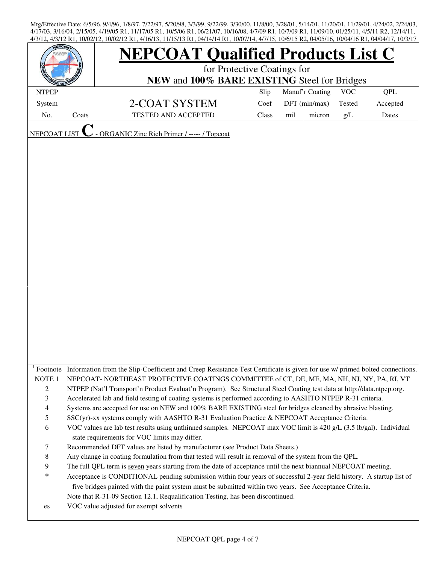|                     |       | 4/3/12, 4/3/12 N1, 10/02/12, 10/02/12 N1, 4/10/13, 11/13/13 N1, 04/14/14 N1, 10/07/14, 4/7/13, 10/0713 N2, 04/03/10, 10/04/10 N1, 04/04/17, 10/3/17 |                                              |                 |        |            |            |  |  |  |  |
|---------------------|-------|-----------------------------------------------------------------------------------------------------------------------------------------------------|----------------------------------------------|-----------------|--------|------------|------------|--|--|--|--|
|                     |       | <b>IEPCOAT Qualified Products List C</b>                                                                                                            |                                              |                 |        |            |            |  |  |  |  |
|                     |       | for Protective Coatings for                                                                                                                         |                                              |                 |        |            |            |  |  |  |  |
|                     |       |                                                                                                                                                     | NEW and 100% BARE EXISTING Steel for Bridges |                 |        |            |            |  |  |  |  |
| <b>NTPEP</b>        |       |                                                                                                                                                     | Slip                                         | Manuf'r Coating |        | <b>VOC</b> | <b>QPL</b> |  |  |  |  |
| System              |       | 2-COAT SYSTEM                                                                                                                                       | Coef                                         | DFT (min/max)   |        | Tested     | Accepted   |  |  |  |  |
| No.                 | Coats | TESTED AND ACCEPTED                                                                                                                                 | Class                                        | mil             | micron | g/L        | Dates      |  |  |  |  |
|                     |       |                                                                                                                                                     |                                              |                 |        |            |            |  |  |  |  |
| <b>NEPCOAT LIST</b> |       | <b>ORGANIC Zinc Rich Primer / ----- / Topcoat</b>                                                                                                   |                                              |                 |        |            |            |  |  |  |  |
|                     |       |                                                                                                                                                     |                                              |                 |        |            |            |  |  |  |  |
|                     |       |                                                                                                                                                     |                                              |                 |        |            |            |  |  |  |  |
|                     |       |                                                                                                                                                     |                                              |                 |        |            |            |  |  |  |  |
|                     |       |                                                                                                                                                     |                                              |                 |        |            |            |  |  |  |  |
|                     |       |                                                                                                                                                     |                                              |                 |        |            |            |  |  |  |  |
|                     |       |                                                                                                                                                     |                                              |                 |        |            |            |  |  |  |  |
|                     |       |                                                                                                                                                     |                                              |                 |        |            |            |  |  |  |  |
|                     |       |                                                                                                                                                     |                                              |                 |        |            |            |  |  |  |  |
|                     |       |                                                                                                                                                     |                                              |                 |        |            |            |  |  |  |  |
|                     |       |                                                                                                                                                     |                                              |                 |        |            |            |  |  |  |  |
|                     |       |                                                                                                                                                     |                                              |                 |        |            |            |  |  |  |  |
|                     |       |                                                                                                                                                     |                                              |                 |        |            |            |  |  |  |  |
|                     |       |                                                                                                                                                     |                                              |                 |        |            |            |  |  |  |  |
|                     |       |                                                                                                                                                     |                                              |                 |        |            |            |  |  |  |  |
|                     |       |                                                                                                                                                     |                                              |                 |        |            |            |  |  |  |  |
|                     |       |                                                                                                                                                     |                                              |                 |        |            |            |  |  |  |  |
|                     |       |                                                                                                                                                     |                                              |                 |        |            |            |  |  |  |  |
|                     |       |                                                                                                                                                     |                                              |                 |        |            |            |  |  |  |  |
|                     |       |                                                                                                                                                     |                                              |                 |        |            |            |  |  |  |  |
|                     |       |                                                                                                                                                     |                                              |                 |        |            |            |  |  |  |  |
|                     |       |                                                                                                                                                     |                                              |                 |        |            |            |  |  |  |  |
|                     |       | Footnote Information from the Slip-Coefficient and Creep Resistance Test Certificate is given for use w/ primed bolted connections.                 |                                              |                 |        |            |            |  |  |  |  |
| NOTE <sub>1</sub>   |       | NEPCOAT-NORTHEAST PROTECTIVE COATINGS COMMITTEE of CT, DE, ME, MA, NH, NJ, NY, PA, RI, VT                                                           |                                              |                 |        |            |            |  |  |  |  |
| $\overline{c}$      |       | NTPEP (Nat'l Transport'n Product Evaluat'n Program). See Structural Steel Coating test data at http://data.ntpep.org.                               |                                              |                 |        |            |            |  |  |  |  |
| 3                   |       | Accelerated lab and field testing of coating systems is performed according to AASHTO NTPEP R-31 criteria.                                          |                                              |                 |        |            |            |  |  |  |  |
| 4                   |       | Systems are accepted for use on NEW and 100% BARE EXISTING steel for bridges cleaned by abrasive blasting.                                          |                                              |                 |        |            |            |  |  |  |  |
| 5                   |       | SSC(yr)-xx systems comply with AASHTO R-31 Evaluation Practice & NEPCOAT Acceptance Criteria.                                                       |                                              |                 |        |            |            |  |  |  |  |
| 6                   |       | VOC values are lab test results using unthinned samples. NEPCOAT max VOC limit is 420 g/L (3.5 lb/gal). Individual                                  |                                              |                 |        |            |            |  |  |  |  |
|                     |       | state requirements for VOC limits may differ.                                                                                                       |                                              |                 |        |            |            |  |  |  |  |
| 7                   |       | Recommended DFT values are listed by manufacturer (see Product Data Sheets.)                                                                        |                                              |                 |        |            |            |  |  |  |  |
| 8                   |       | Any change in coating formulation from that tested will result in removal of the system from the QPL.                                               |                                              |                 |        |            |            |  |  |  |  |
| 9                   |       | The full QPL term is seven years starting from the date of acceptance until the next biannual NEPCOAT meeting.                                      |                                              |                 |        |            |            |  |  |  |  |
| $\ast$              |       | Acceptance is CONDITIONAL pending submission within four years of successful 2-year field history. A startup list of                                |                                              |                 |        |            |            |  |  |  |  |
|                     |       | five bridges painted with the paint system must be submitted within two years. See Acceptance Criteria.                                             |                                              |                 |        |            |            |  |  |  |  |
|                     |       | Note that R-31-09 Section 12.1, Requalification Testing, has been discontinued.                                                                     |                                              |                 |        |            |            |  |  |  |  |
| es                  |       | VOC value adjusted for exempt solvents                                                                                                              |                                              |                 |        |            |            |  |  |  |  |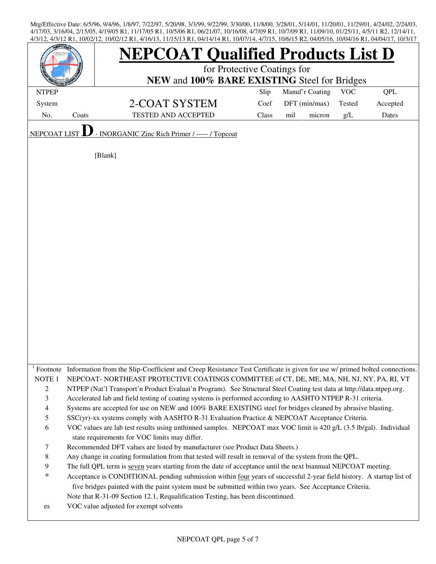| <b>LEPCO</b>        |       | 7/9/12 N1, 10/02/12, 10/02/12 N1, 7/10/19, 11/19/19 N1, 07/17/17 N1, 10/07/17, 7/7/19, 10/07/19 N2, 07/09/10, 10/07/10 N1, 07/07/17, 10/9/17     |       |     |                 |            |            |
|---------------------|-------|--------------------------------------------------------------------------------------------------------------------------------------------------|-------|-----|-----------------|------------|------------|
|                     |       | <b>NEPCOAT Qualified Products List D</b>                                                                                                         |       |     |                 |            |            |
|                     |       | for Protective Coatings for                                                                                                                      |       |     |                 |            |            |
|                     |       | NEW and 100% BARE EXISTING Steel for Bridges                                                                                                     |       |     |                 | <b>VOC</b> |            |
| <b>NTPEP</b>        |       |                                                                                                                                                  | Slip  |     | Manuf'r Coating |            | <b>QPL</b> |
| System              |       | 2-COAT SYSTEM                                                                                                                                    | Coef  |     | DFT (min/max)   | Tested     | Accepted   |
| No.                 | Coats | <b>TESTED AND ACCEPTED</b>                                                                                                                       | Class | mil | micron          | g/L        | Dates      |
| <b>NEPCOAT LIST</b> |       | - INORGANIC Zinc Rich Primer / ----- / Topcoat                                                                                                   |       |     |                 |            |            |
|                     |       |                                                                                                                                                  |       |     |                 |            |            |
|                     |       | [Blank]                                                                                                                                          |       |     |                 |            |            |
|                     |       |                                                                                                                                                  |       |     |                 |            |            |
|                     |       |                                                                                                                                                  |       |     |                 |            |            |
|                     |       |                                                                                                                                                  |       |     |                 |            |            |
|                     |       |                                                                                                                                                  |       |     |                 |            |            |
|                     |       |                                                                                                                                                  |       |     |                 |            |            |
|                     |       |                                                                                                                                                  |       |     |                 |            |            |
|                     |       |                                                                                                                                                  |       |     |                 |            |            |
|                     |       |                                                                                                                                                  |       |     |                 |            |            |
|                     |       |                                                                                                                                                  |       |     |                 |            |            |
|                     |       |                                                                                                                                                  |       |     |                 |            |            |
|                     |       |                                                                                                                                                  |       |     |                 |            |            |
|                     |       |                                                                                                                                                  |       |     |                 |            |            |
|                     |       |                                                                                                                                                  |       |     |                 |            |            |
|                     |       |                                                                                                                                                  |       |     |                 |            |            |
|                     |       |                                                                                                                                                  |       |     |                 |            |            |
|                     |       |                                                                                                                                                  |       |     |                 |            |            |
|                     |       |                                                                                                                                                  |       |     |                 |            |            |
|                     |       |                                                                                                                                                  |       |     |                 |            |            |
|                     |       | <sup>1</sup> Footnote Information from the Slip-Coefficient and Creep Resistance Test Certificate is given for use w/ primed bolted connections. |       |     |                 |            |            |
| NOTE <sub>1</sub>   |       | NEPCOAT-NORTHEAST PROTECTIVE COATINGS COMMITTEE of CT, DE, ME, MA, NH, NJ, NY, PA, RI, VT                                                        |       |     |                 |            |            |
| $\mathbf{2}$        |       | NTPEP (Nat'l Transport'n Product Evaluat'n Program). See Structural Steel Coating test data at http://data.ntpep.org.                            |       |     |                 |            |            |
| $\mathfrak{Z}$      |       | Accelerated lab and field testing of coating systems is performed according to AASHTO NTPEP R-31 criteria.                                       |       |     |                 |            |            |
| $\overline{4}$      |       | Systems are accepted for use on NEW and 100% BARE EXISTING steel for bridges cleaned by abrasive blasting.                                       |       |     |                 |            |            |
| 5                   |       | SSC(yr)-xx systems comply with AASHTO R-31 Evaluation Practice & NEPCOAT Acceptance Criteria.                                                    |       |     |                 |            |            |
| 6                   |       | VOC values are lab test results using unthinned samples. NEPCOAT max VOC limit is 420 g/L (3.5 lb/gal). Individual                               |       |     |                 |            |            |
|                     |       | state requirements for VOC limits may differ.                                                                                                    |       |     |                 |            |            |
| $\tau$              |       | Recommended DFT values are listed by manufacturer (see Product Data Sheets.)                                                                     |       |     |                 |            |            |
| $\,8\,$             |       | Any change in coating formulation from that tested will result in removal of the system from the QPL.                                            |       |     |                 |            |            |
| 9                   |       | The full QPL term is seven years starting from the date of acceptance until the next biannual NEPCOAT meeting.                                   |       |     |                 |            |            |
| $\ast$              |       | Acceptance is CONDITIONAL pending submission within four years of successful 2-year field history. A startup list of                             |       |     |                 |            |            |
|                     |       | five bridges painted with the paint system must be submitted within two years. See Acceptance Criteria.                                          |       |     |                 |            |            |
|                     |       | Note that R-31-09 Section 12.1, Requalification Testing, has been discontinued.                                                                  |       |     |                 |            |            |
| es                  |       | VOC value adjusted for exempt solvents                                                                                                           |       |     |                 |            |            |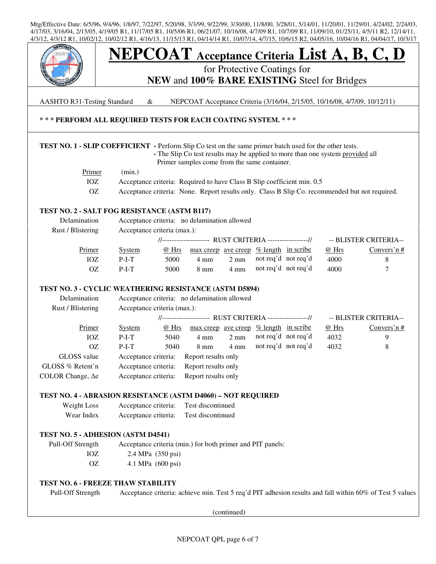